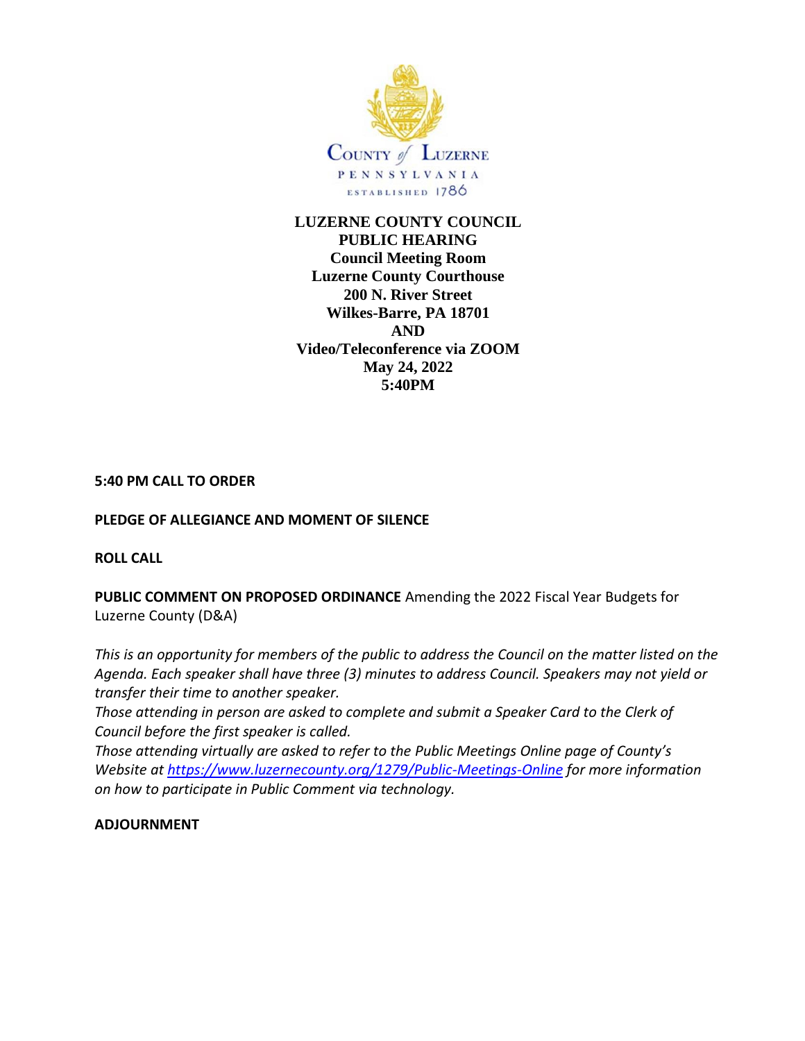

**LUZERNE COUNTY COUNCIL PUBLIC HEARING Council Meeting Room Luzerne County Courthouse 200 N. River Street Wilkes-Barre, PA 18701 AND Video/Teleconference via ZOOM May 24, 2022 5:40PM**

## **5:40 PM CALL TO ORDER**

## **PLEDGE OF ALLEGIANCE AND MOMENT OF SILENCE**

### **ROLL CALL**

**PUBLIC COMMENT ON PROPOSED ORDINANCE** Amending the 2022 Fiscal Year Budgets for Luzerne County (D&A)

*This is an opportunity for members of the public to address the Council on the matter listed on the Agenda. Each speaker shall have three (3) minutes to address Council. Speakers may not yield or transfer their time to another speaker.* 

*Those attending in person are asked to complete and submit a Speaker Card to the Clerk of Council before the first speaker is called.*

*Those attending virtually are asked to refer to the Public Meetings Online page of County's Website at [https://www.luzernecounty.org/1279/Public-Meetings-Online](https://gcc02.safelinks.protection.outlook.com/?url=https%3A%2F%2Fwww.luzernecounty.org%2F1279%2FPublic-Meetings-Online&data=04%7C01%7CSharon.Lawrence%40luzernecounty.org%7Ccb5b031382a5477d4ff708d942de7a3d%7C1e7ab09fb6644e40adbf404eb8b8d9f6%7C0%7C0%7C637614345567858172%7CUnknown%7CTWFpbGZsb3d8eyJWIjoiMC4wLjAwMDAiLCJQIjoiV2luMzIiLCJBTiI6Ik1haWwiLCJXVCI6Mn0%3D%7C1000&sdata=JW0i8nL0iQ6etW2MQ1VK26EjeygTlPsUrl7HRnEAxq0%3D&reserved=0) for more information on how to participate in Public Comment via technology.* 

### **ADJOURNMENT**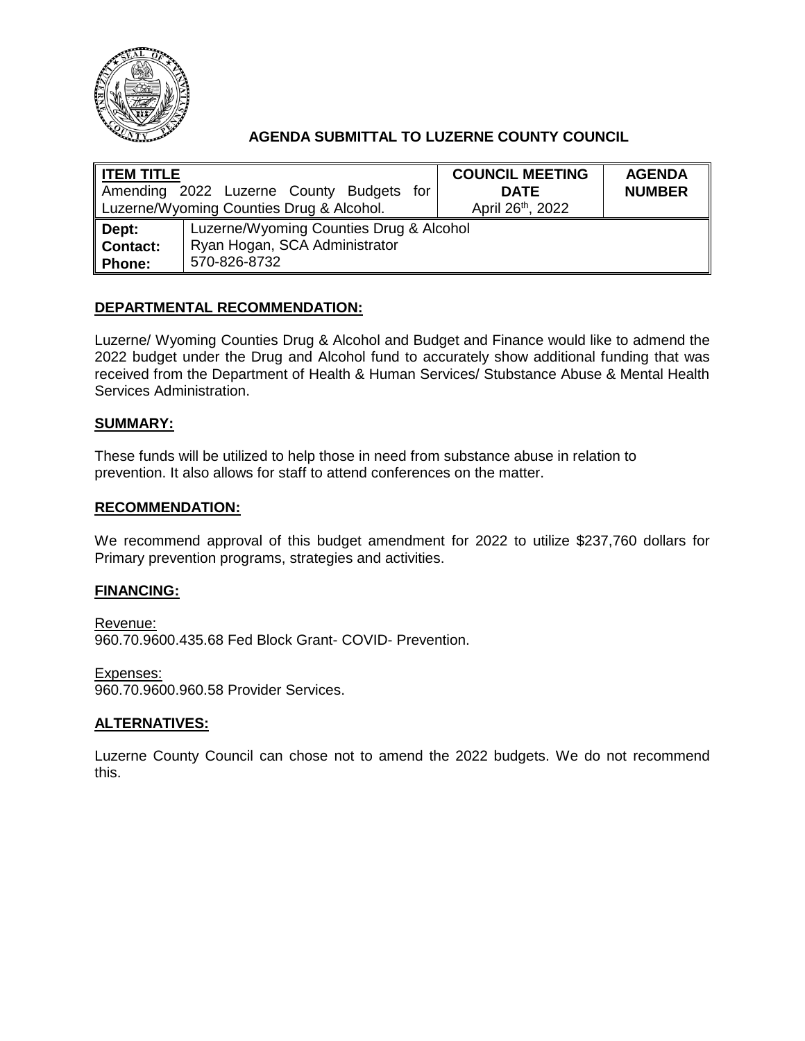

# **AGENDA SUBMITTAL TO LUZERNE COUNTY COUNCIL**

| $\parallel$ ITEM TITLE                   | Amending 2022 Luzerne County Budgets for | <b>COUNCIL MEETING</b><br><b>DATE</b> | <b>AGENDA</b><br><b>NUMBER</b> |
|------------------------------------------|------------------------------------------|---------------------------------------|--------------------------------|
| Luzerne/Wyoming Counties Drug & Alcohol. |                                          | April 26 <sup>th</sup> , 2022         |                                |
| ∥ Dept:                                  | Luzerne/Wyoming Counties Drug & Alcohol  |                                       |                                |
| Contact:                                 | Ryan Hogan, SCA Administrator            |                                       |                                |
| ∥ Phone:                                 | 570-826-8732                             |                                       |                                |

## **DEPARTMENTAL RECOMMENDATION:**

Luzerne/ Wyoming Counties Drug & Alcohol and Budget and Finance would like to admend the 2022 budget under the Drug and Alcohol fund to accurately show additional funding that was received from the Department of Health & Human Services/ Stubstance Abuse & Mental Health Services Administration.

### **SUMMARY:**

These funds will be utilized to help those in need from substance abuse in relation to prevention. It also allows for staff to attend conferences on the matter.

### **RECOMMENDATION:**

We recommend approval of this budget amendment for 2022 to utilize \$237,760 dollars for Primary prevention programs, strategies and activities.

### **FINANCING:**

Revenue: 960.70.9600.435.68 Fed Block Grant- COVID- Prevention.

Expenses: 960.70.9600.960.58 Provider Services.

### **ALTERNATIVES:**

Luzerne County Council can chose not to amend the 2022 budgets. We do not recommend this.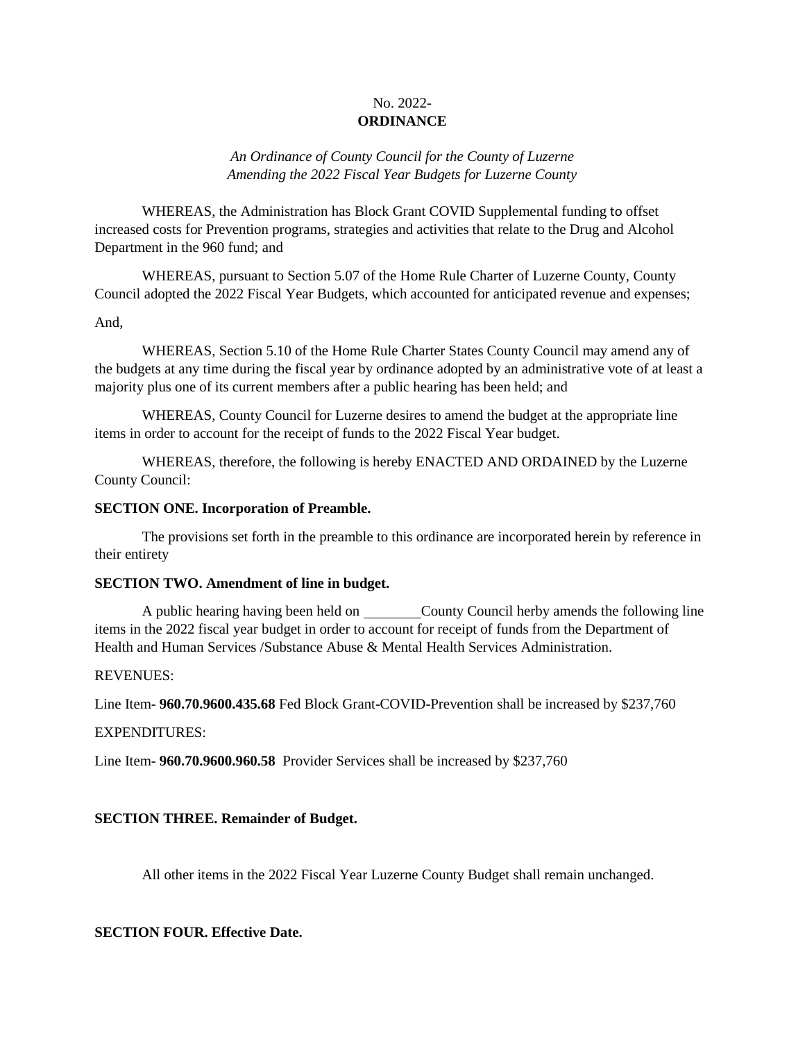## No. 2022- **ORDINANCE**

*An Ordinance of County Council for the County of Luzerne Amending the 2022 Fiscal Year Budgets for Luzerne County* 

WHEREAS, the Administration has Block Grant COVID Supplemental funding to offset increased costs for Prevention programs, strategies and activities that relate to the Drug and Alcohol Department in the 960 fund; and

WHEREAS, pursuant to Section 5.07 of the Home Rule Charter of Luzerne County, County Council adopted the 2022 Fiscal Year Budgets, which accounted for anticipated revenue and expenses;

### And,

WHEREAS, Section 5.10 of the Home Rule Charter States County Council may amend any of the budgets at any time during the fiscal year by ordinance adopted by an administrative vote of at least a majority plus one of its current members after a public hearing has been held; and

WHEREAS, County Council for Luzerne desires to amend the budget at the appropriate line items in order to account for the receipt of funds to the 2022 Fiscal Year budget.

WHEREAS, therefore, the following is hereby ENACTED AND ORDAINED by the Luzerne County Council:

### **SECTION ONE. Incorporation of Preamble.**

The provisions set forth in the preamble to this ordinance are incorporated herein by reference in their entirety

### **SECTION TWO. Amendment of line in budget.**

A public hearing having been held on County Council herby amends the following line items in the 2022 fiscal year budget in order to account for receipt of funds from the Department of Health and Human Services /Substance Abuse & Mental Health Services Administration.

### REVENUES:

Line Item- **960.70.9600.435.68** Fed Block Grant-COVID-Prevention shall be increased by \$237,760

### EXPENDITURES:

Line Item- **960.70.9600.960.58** Provider Services shall be increased by \$237,760

### **SECTION THREE. Remainder of Budget.**

All other items in the 2022 Fiscal Year Luzerne County Budget shall remain unchanged.

### **SECTION FOUR. Effective Date.**